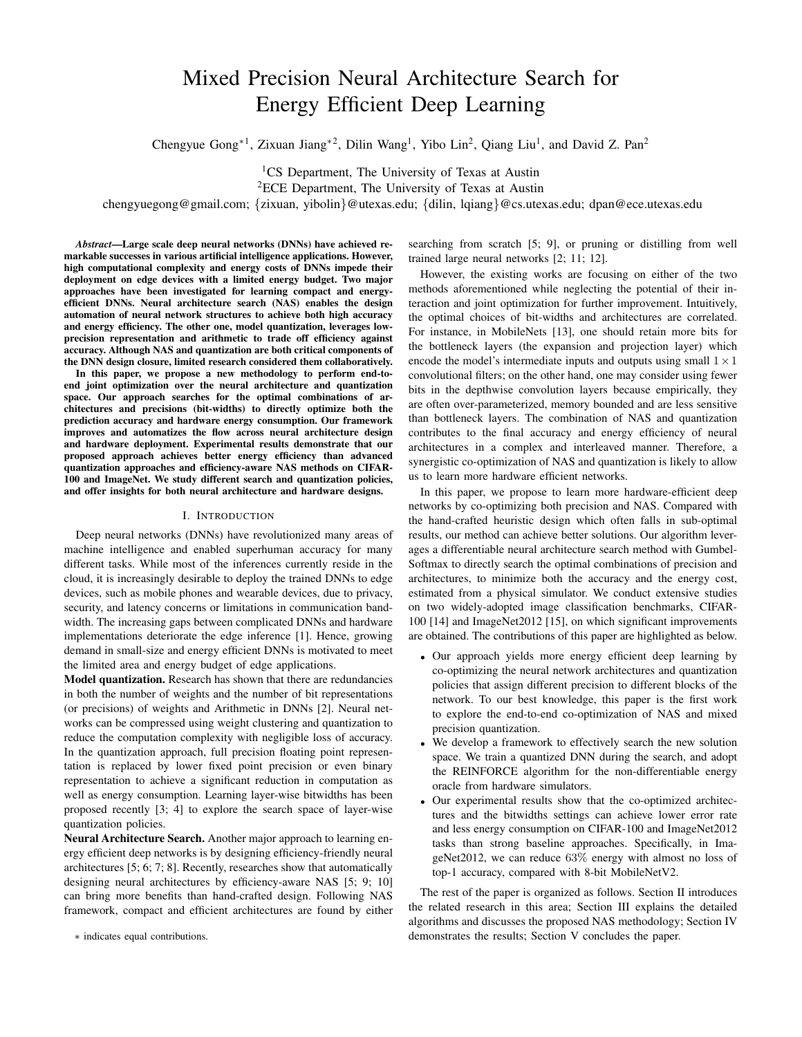# Mixed Precision Neural Architecture Search for Energy Efficient Deep Learning

Chengyue Gong<sup>∗1</sup>, Zixuan Jiang<sup>∗2</sup>, Dilin Wang<sup>1</sup>, Yibo Lin<sup>2</sup>, Qiang Liu<sup>1</sup>, and David Z. Pan<sup>2</sup>

<sup>1</sup>CS Department, The University of Texas at Austin <sup>2</sup>ECE Department, The University of Texas at Austin

chengyuegong@gmail.com; {zixuan, yibolin}@utexas.edu; {dilin, lqiang}@cs.utexas.edu; dpan@ece.utexas.edu

*Abstract*—Large scale deep neural networks (DNNs) have achieved remarkable successes in various artificial intelligence applications. However, high computational complexity and energy costs of DNNs impede their deployment on edge devices with a limited energy budget. Two major approaches have been investigated for learning compact and energyefficient DNNs. Neural architecture search (NAS) enables the design automation of neural network structures to achieve both high accuracy and energy efficiency. The other one, model quantization, leverages lowprecision representation and arithmetic to trade off efficiency against accuracy. Although NAS and quantization are both critical components of the DNN design closure, limited research considered them collaboratively.

In this paper, we propose a new methodology to perform end-toend joint optimization over the neural architecture and quantization space. Our approach searches for the optimal combinations of architectures and precisions (bit-widths) to directly optimize both the prediction accuracy and hardware energy consumption. Our framework improves and automatizes the flow across neural architecture design and hardware deployment. Experimental results demonstrate that our proposed approach achieves better energy efficiency than advanced quantization approaches and efficiency-aware NAS methods on CIFAR-100 and ImageNet. We study different search and quantization policies, and offer insights for both neural architecture and hardware designs.

## I. INTRODUCTION

Deep neural networks (DNNs) have revolutionized many areas of machine intelligence and enabled superhuman accuracy for many different tasks. While most of the inferences currently reside in the cloud, it is increasingly desirable to deploy the trained DNNs to edge devices, such as mobile phones and wearable devices, due to privacy, security, and latency concerns or limitations in communication bandwidth. The increasing gaps between complicated DNNs and hardware implementations deteriorate the edge inference [1]. Hence, growing demand in small-size and energy efficient DNNs is motivated to meet the limited area and energy budget of edge applications.

Model quantization. Research has shown that there are redundancies in both the number of weights and the number of bit representations (or precisions) of weights and Arithmetic in DNNs [2]. Neural networks can be compressed using weight clustering and quantization to reduce the computation complexity with negligible loss of accuracy. In the quantization approach, full precision floating point representation is replaced by lower fixed point precision or even binary representation to achieve a significant reduction in computation as well as energy consumption. Learning layer-wise bitwidths has been proposed recently [3; 4] to explore the search space of layer-wise quantization policies.

Neural Architecture Search. Another major approach to learning energy efficient deep networks is by designing efficiency-friendly neural architectures [5; 6; 7; 8]. Recently, researches show that automatically designing neural architectures by efficiency-aware NAS [5; 9; 10] can bring more benefits than hand-crafted design. Following NAS framework, compact and efficient architectures are found by either

∗ indicates equal contributions.

searching from scratch [5; 9], or pruning or distilling from well trained large neural networks [2; 11; 12].

However, the existing works are focusing on either of the two methods aforementioned while neglecting the potential of their interaction and joint optimization for further improvement. Intuitively, the optimal choices of bit-widths and architectures are correlated. For instance, in MobileNets [13], one should retain more bits for the bottleneck layers (the expansion and projection layer) which encode the model's intermediate inputs and outputs using small  $1 \times 1$ convolutional filters; on the other hand, one may consider using fewer bits in the depthwise convolution layers because empirically, they are often over-parameterized, memory bounded and are less sensitive than bottleneck layers. The combination of NAS and quantization contributes to the final accuracy and energy efficiency of neural architectures in a complex and interleaved manner. Therefore, a synergistic co-optimization of NAS and quantization is likely to allow us to learn more hardware efficient networks.

In this paper, we propose to learn more hardware-efficient deep networks by co-optimizing both precision and NAS. Compared with the hand-crafted heuristic design which often falls in sub-optimal results, our method can achieve better solutions. Our algorithm leverages a differentiable neural architecture search method with Gumbel-Softmax to directly search the optimal combinations of precision and architectures, to minimize both the accuracy and the energy cost, estimated from a physical simulator. We conduct extensive studies on two widely-adopted image classification benchmarks, CIFAR-100 [14] and ImageNet2012 [15], on which significant improvements are obtained. The contributions of this paper are highlighted as below.

- Our approach yields more energy efficient deep learning by co-optimizing the neural network architectures and quantization policies that assign different precision to different blocks of the network. To our best knowledge, this paper is the first work to explore the end-to-end co-optimization of NAS and mixed precision quantization.
- We develop a framework to effectively search the new solution space. We train a quantized DNN during the search, and adopt the REINFORCE algorithm for the non-differentiable energy oracle from hardware simulators.
- Our experimental results show that the co-optimized architectures and the bitwidths settings can achieve lower error rate and less energy consumption on CIFAR-100 and ImageNet2012 tasks than strong baseline approaches. Specifically, in ImageNet2012, we can reduce 63% energy with almost no loss of top-1 accuracy, compared with 8-bit MobileNetV2.

The rest of the paper is organized as follows. Section II introduces the related research in this area; Section III explains the detailed algorithms and discusses the proposed NAS methodology; Section IV demonstrates the results; Section V concludes the paper.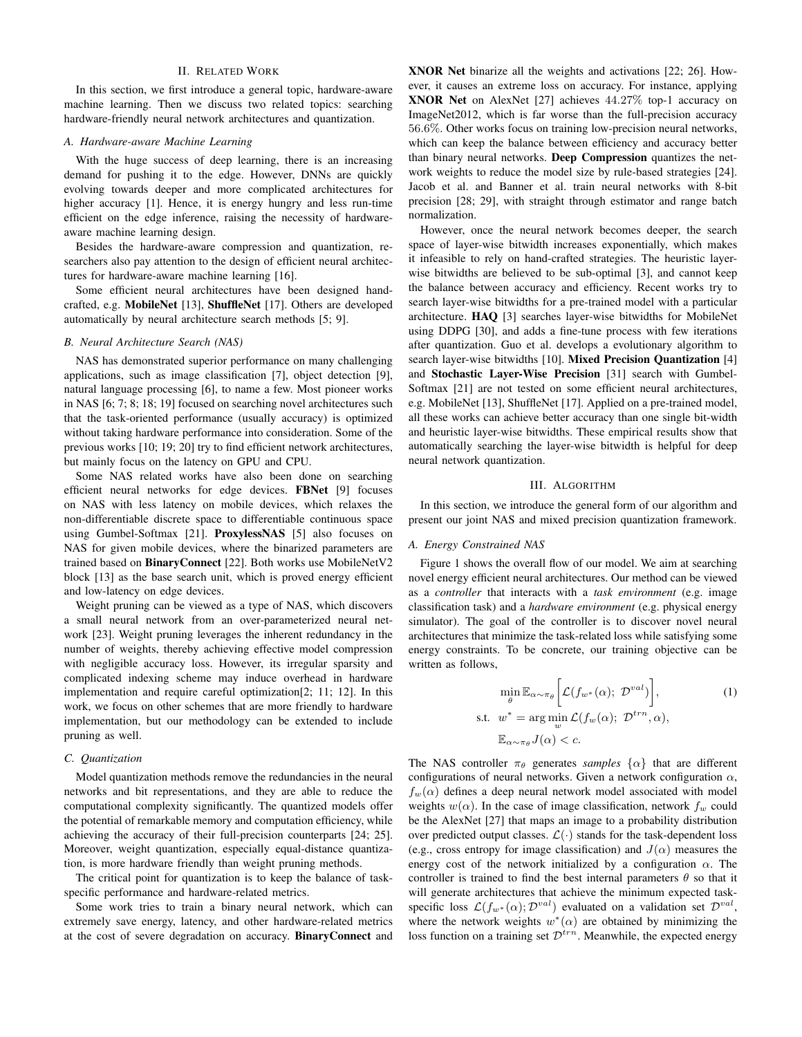# II. RELATED WORK

In this section, we first introduce a general topic, hardware-aware machine learning. Then we discuss two related topics: searching hardware-friendly neural network architectures and quantization.

# *A. Hardware-aware Machine Learning*

With the huge success of deep learning, there is an increasing demand for pushing it to the edge. However, DNNs are quickly evolving towards deeper and more complicated architectures for higher accuracy [1]. Hence, it is energy hungry and less run-time efficient on the edge inference, raising the necessity of hardwareaware machine learning design.

Besides the hardware-aware compression and quantization, researchers also pay attention to the design of efficient neural architectures for hardware-aware machine learning [16].

Some efficient neural architectures have been designed handcrafted, e.g. MobileNet [13], ShuffleNet [17]. Others are developed automatically by neural architecture search methods [5; 9].

## *B. Neural Architecture Search (NAS)*

NAS has demonstrated superior performance on many challenging applications, such as image classification [7], object detection [9], natural language processing [6], to name a few. Most pioneer works in NAS [6; 7; 8; 18; 19] focused on searching novel architectures such that the task-oriented performance (usually accuracy) is optimized without taking hardware performance into consideration. Some of the previous works [10; 19; 20] try to find efficient network architectures, but mainly focus on the latency on GPU and CPU.

Some NAS related works have also been done on searching efficient neural networks for edge devices. FBNet [9] focuses on NAS with less latency on mobile devices, which relaxes the non-differentiable discrete space to differentiable continuous space using Gumbel-Softmax [21]. ProxylessNAS [5] also focuses on NAS for given mobile devices, where the binarized parameters are trained based on BinaryConnect [22]. Both works use MobileNetV2 block [13] as the base search unit, which is proved energy efficient and low-latency on edge devices.

Weight pruning can be viewed as a type of NAS, which discovers a small neural network from an over-parameterized neural network [23]. Weight pruning leverages the inherent redundancy in the number of weights, thereby achieving effective model compression with negligible accuracy loss. However, its irregular sparsity and complicated indexing scheme may induce overhead in hardware implementation and require careful optimization[2; 11; 12]. In this work, we focus on other schemes that are more friendly to hardware implementation, but our methodology can be extended to include pruning as well.

# *C. Quantization*

Model quantization methods remove the redundancies in the neural networks and bit representations, and they are able to reduce the computational complexity significantly. The quantized models offer the potential of remarkable memory and computation efficiency, while achieving the accuracy of their full-precision counterparts [24; 25]. Moreover, weight quantization, especially equal-distance quantization, is more hardware friendly than weight pruning methods.

The critical point for quantization is to keep the balance of taskspecific performance and hardware-related metrics.

Some work tries to train a binary neural network, which can extremely save energy, latency, and other hardware-related metrics at the cost of severe degradation on accuracy. BinaryConnect and XNOR Net binarize all the weights and activations [22; 26]. However, it causes an extreme loss on accuracy. For instance, applying XNOR Net on AlexNet [27] achieves 44.27% top-1 accuracy on ImageNet2012, which is far worse than the full-precision accuracy 56.6%. Other works focus on training low-precision neural networks, which can keep the balance between efficiency and accuracy better than binary neural networks. Deep Compression quantizes the network weights to reduce the model size by rule-based strategies [24]. Jacob et al. and Banner et al. train neural networks with 8-bit precision [28; 29], with straight through estimator and range batch normalization.

However, once the neural network becomes deeper, the search space of layer-wise bitwidth increases exponentially, which makes it infeasible to rely on hand-crafted strategies. The heuristic layerwise bitwidths are believed to be sub-optimal [3], and cannot keep the balance between accuracy and efficiency. Recent works try to search layer-wise bitwidths for a pre-trained model with a particular architecture. HAQ [3] searches layer-wise bitwidths for MobileNet using DDPG [30], and adds a fine-tune process with few iterations after quantization. Guo et al. develops a evolutionary algorithm to search layer-wise bitwidths [10]. Mixed Precision Quantization [4] and Stochastic Layer-Wise Precision [31] search with Gumbel-Softmax [21] are not tested on some efficient neural architectures, e.g. MobileNet [13], ShuffleNet [17]. Applied on a pre-trained model, all these works can achieve better accuracy than one single bit-width and heuristic layer-wise bitwidths. These empirical results show that automatically searching the layer-wise bitwidth is helpful for deep neural network quantization.

#### III. ALGORITHM

In this section, we introduce the general form of our algorithm and present our joint NAS and mixed precision quantization framework.

#### *A. Energy Constrained NAS*

Figure 1 shows the overall flow of our model. We aim at searching novel energy efficient neural architectures. Our method can be viewed as a *controller* that interacts with a *task environment* (e.g. image classification task) and a *hardware environment* (e.g. physical energy simulator). The goal of the controller is to discover novel neural architectures that minimize the task-related loss while satisfying some energy constraints. To be concrete, our training objective can be written as follows,

$$
\min_{\theta} \mathbb{E}_{\alpha \sim \pi_{\theta}} \left[ \mathcal{L}(f_{w^*}(\alpha); \mathcal{D}^{val}) \right],
$$
\n
$$
\text{s.t. } w^* = \arg \min_{w} \mathcal{L}(f_w(\alpha); \mathcal{D}^{trn}, \alpha),
$$
\n
$$
\mathbb{E}_{\alpha \sim \pi_{\theta}} J(\alpha) < c.
$$
\n
$$
(1)
$$

The NAS controller  $\pi_{\theta}$  generates *samples*  $\{\alpha\}$  that are different configurations of neural networks. Given a network configuration  $\alpha$ ,  $f_w(\alpha)$  defines a deep neural network model associated with model weights  $w(\alpha)$ . In the case of image classification, network  $f_w$  could be the AlexNet [27] that maps an image to a probability distribution over predicted output classes.  $\mathcal{L}(\cdot)$  stands for the task-dependent loss (e.g., cross entropy for image classification) and  $J(\alpha)$  measures the energy cost of the network initialized by a configuration  $\alpha$ . The controller is trained to find the best internal parameters  $\theta$  so that it will generate architectures that achieve the minimum expected taskspecific loss  $\mathcal{L}(f_{w^*}(\alpha); \mathcal{D}^{val})$  evaluated on a validation set  $\mathcal{D}^{val}$ , where the network weights  $w^*(\alpha)$  are obtained by minimizing the loss function on a training set  $\mathcal{D}^{trn}$ . Meanwhile, the expected energy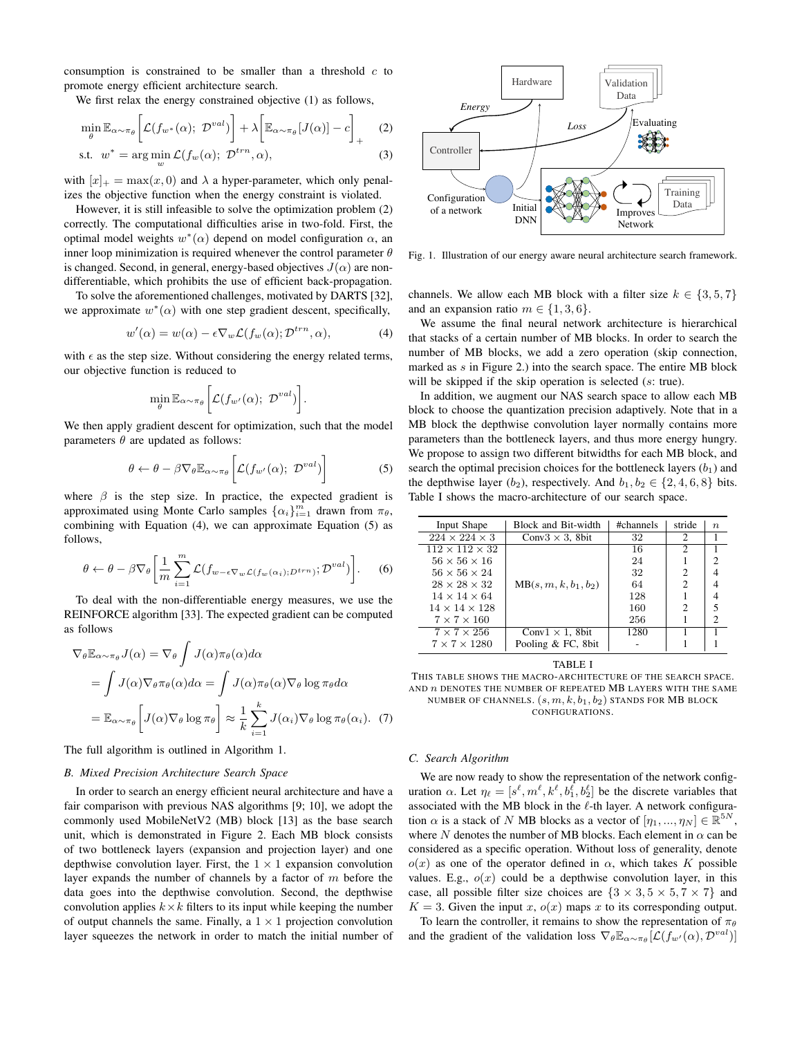consumption is constrained to be smaller than a threshold  $c$  to promote energy efficient architecture search.

We first relax the energy constrained objective (1) as follows,

$$
\min_{\theta} \mathbb{E}_{\alpha \sim \pi_{\theta}} \left[ \mathcal{L}(f_{w^*}(\alpha); \ \mathcal{D}^{val}) \right] + \lambda \left[ \mathbb{E}_{\alpha \sim \pi_{\theta}} [J(\alpha)] - c \right]_{+} \quad (2)
$$

$$
\text{s.t. } w^* = \arg\min_{w} \mathcal{L}(f_w(\alpha); \ \mathcal{D}^{trn}, \alpha), \tag{3}
$$

with  $[x]_+ = \max(x, 0)$  and  $\lambda$  a hyper-parameter, which only penalizes the objective function when the energy constraint is violated.

However, it is still infeasible to solve the optimization problem (2) correctly. The computational difficulties arise in two-fold. First, the optimal model weights  $w^*(\alpha)$  depend on model configuration  $\alpha$ , and inner loop minimization is required whenever the control parameter  $\theta$ is changed. Second, in general, energy-based objectives  $J(\alpha)$  are nondifferentiable, which prohibits the use of efficient back-propagation.

To solve the aforementioned challenges, motivated by DARTS [32], we approximate  $w^*(\alpha)$  with one step gradient descent, specifically,

$$
w'(\alpha) = w(\alpha) - \epsilon \nabla_w \mathcal{L}(f_w(\alpha); \mathcal{D}^{trn}, \alpha), \tag{4}
$$

.

with  $\epsilon$  as the step size. Without considering the energy related terms, our objective function is reduced to

$$
\min_{\theta} \mathbb{E}_{\alpha \sim \pi_{\theta}} \bigg[ \mathcal{L}(f_{w'}(\alpha); \ \mathcal{D}^{val}) \bigg]
$$

We then apply gradient descent for optimization, such that the model parameters  $\theta$  are updated as follows:

$$
\theta \leftarrow \theta - \beta \nabla_{\theta} \mathbb{E}_{\alpha \sim \pi_{\theta}} \bigg[ \mathcal{L}(f_{w'}(\alpha); \ \mathcal{D}^{val}) \bigg] \tag{5}
$$

where  $\beta$  is the step size. In practice, the expected gradient is approximated using Monte Carlo samples  $\{\alpha_i\}_{i=1}^m$  drawn from  $\pi_\theta$ , combining with Equation (4), we can approximate Equation (5) as follows,

$$
\theta \leftarrow \theta - \beta \nabla_{\theta} \left[ \frac{1}{m} \sum_{i=1}^{m} \mathcal{L}(f_{w-\epsilon \nabla_{w} \mathcal{L}(f_{w}(\alpha_{i}); D^{trn})}; \mathcal{D}^{val}) \right].
$$
 (6)

To deal with the non-differentiable energy measures, we use the REINFORCE algorithm [33]. The expected gradient can be computed as follows

$$
\nabla_{\theta} \mathbb{E}_{\alpha \sim \pi_{\theta}} J(\alpha) = \nabla_{\theta} \int J(\alpha) \pi_{\theta}(\alpha) d\alpha
$$
  
= 
$$
\int J(\alpha) \nabla_{\theta} \pi_{\theta}(\alpha) d\alpha = \int J(\alpha) \pi_{\theta}(\alpha) \nabla_{\theta} \log \pi_{\theta} d\alpha
$$
  
= 
$$
\mathbb{E}_{\alpha \sim \pi_{\theta}} \left[ J(\alpha) \nabla_{\theta} \log \pi_{\theta} \right] \approx \frac{1}{k} \sum_{i=1}^{k} J(\alpha_i) \nabla_{\theta} \log \pi_{\theta}(\alpha_i).
$$
 (7)

The full algorithm is outlined in Algorithm 1.

## *B. Mixed Precision Architecture Search Space*

In order to search an energy efficient neural architecture and have a fair comparison with previous NAS algorithms [9; 10], we adopt the commonly used MobileNetV2 (MB) block [13] as the base search unit, which is demonstrated in Figure 2. Each MB block consists of two bottleneck layers (expansion and projection layer) and one depthwise convolution layer. First, the  $1 \times 1$  expansion convolution layer expands the number of channels by a factor of  $m$  before the data goes into the depthwise convolution. Second, the depthwise convolution applies  $k \times k$  filters to its input while keeping the number of output channels the same. Finally, a  $1 \times 1$  projection convolution layer squeezes the network in order to match the initial number of



Fig. 1. Illustration of our energy aware neural architecture search framework.

channels. We allow each MB block with a filter size  $k \in \{3, 5, 7\}$ and an expansion ratio  $m \in \{1, 3, 6\}.$ 

We assume the final neural network architecture is hierarchical that stacks of a certain number of MB blocks. In order to search the number of MB blocks, we add a zero operation (skip connection, marked as  $s$  in Figure 2.) into the search space. The entire MB block will be skipped if the skip operation is selected (s: true).

In addition, we augment our NAS search space to allow each MB block to choose the quantization precision adaptively. Note that in a MB block the depthwise convolution layer normally contains more parameters than the bottleneck layers, and thus more energy hungry. We propose to assign two different bitwidths for each MB block, and search the optimal precision choices for the bottleneck layers  $(b<sub>1</sub>)$  and the depthwise layer (b<sub>2</sub>), respectively. And  $b_1, b_2 \in \{2, 4, 6, 8\}$  bits. Table I shows the macro-architecture of our search space.

| Input Shape                | Block and Bit-width      | #channels | stride         | $n_{\cdot}$              |
|----------------------------|--------------------------|-----------|----------------|--------------------------|
| $224 \times 224 \times 3$  | Conv $3 \times 3$ , 8bit | 32        | 2              |                          |
| $112 \times 112 \times 32$ |                          | 16        | 2              |                          |
| $56 \times 56 \times 16$   |                          | 24        |                | 2                        |
| $56 \times 56 \times 24$   |                          | 32        | 2              | 4                        |
| $28 \times 28 \times 32$   | $MB(s, m, k, b_1, b_2)$  | 64        | $\mathfrak{D}$ |                          |
| $14 \times 14 \times 64$   |                          | 128       |                |                          |
| $14 \times 14 \times 128$  |                          | 160       | $\mathfrak{D}$ | $\overline{\phantom{0}}$ |
| $7 \times 7 \times 160$    |                          | 256       |                | $\mathfrak{D}$           |
| $7 \times 7 \times 256$    | Conv $1 \times 1$ , 8bit | 1280      |                |                          |
| $7 \times 7 \times 1280$   | Pooling & FC, 8bit       |           |                |                          |

TABLE I

THIS TABLE SHOWS THE MACRO-ARCHITECTURE OF THE SEARCH SPACE. AND  $n$  denotes the number of repeated MB layers with the same NUMBER OF CHANNELS.  $(s, m, k, b_1, b_2)$  stands for MB block CONFIGURATIONS.

# *C. Search Algorithm*

We are now ready to show the representation of the network configuration  $\alpha$ . Let  $\eta_{\ell} = [s^{\ell}, m^{\ell}, k^{\ell}, b_1^{\ell}, b_2^{\ell}]$  be the discrete variables that associated with the MB block in the  $\ell$ -th layer. A network configuration  $\alpha$  is a stack of N MB blocks as a vector of  $[\eta_1, ..., \eta_N] \in \mathbb{R}^{5N}$ , where N denotes the number of MB blocks. Each element in  $\alpha$  can be considered as a specific operation. Without loss of generality, denote  $o(x)$  as one of the operator defined in  $\alpha$ , which takes K possible values. E.g.,  $o(x)$  could be a depthwise convolution layer, in this case, all possible filter size choices are  $\{3 \times 3, 5 \times 5, 7 \times 7\}$  and  $K = 3$ . Given the input x,  $o(x)$  maps x to its corresponding output.

To learn the controller, it remains to show the representation of  $\pi_{\theta}$ and the gradient of the validation loss  $\nabla_{\theta} \mathbb{E}_{\alpha \sim \pi_{\theta}} [\mathcal{L}(f_{w'}(\alpha), \mathcal{D}^{val})]$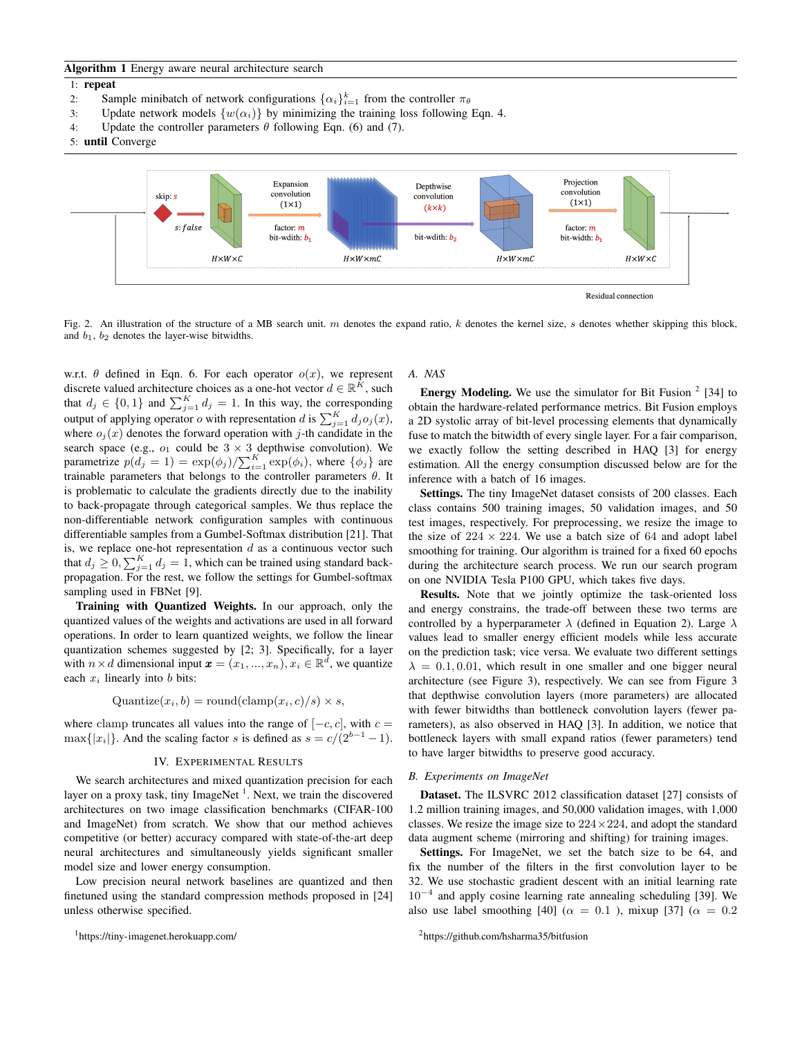# Algorithm 1 Energy aware neural architecture search

#### 1: repeat

- 2: Sample minibatch of network configurations  $\{\alpha_i\}_{i=1}^k$  from the controller  $\pi_\theta$
- 3: Update network models  $\{w(\alpha_i)\}\$ by minimizing the training loss following Eqn. 4.
- 4: Update the controller parameters  $\theta$  following Eqn. (6) and (7).
- 5: until Converge



Fig. 2. An illustration of the structure of a MB search unit.  $m$  denotes the expand ratio,  $k$  denotes the kernel size,  $s$  denotes whether skipping this block, and  $b_1$ ,  $b_2$  denotes the layer-wise bitwidths.

w.r.t.  $\theta$  defined in Eqn. 6. For each operator  $o(x)$ , we represent discrete valued architecture choices as a one-hot vector  $d \in \mathbb{R}^K$ , such that  $d_j \in \{0, 1\}$  and  $\sum_{j=1}^K d_j = 1$ . In this way, the corresponding output of applying operator  $o$  with representation  $d$  is  $\sum_{j=1}^{K} d_j o_j(x)$ , where  $o_i(x)$  denotes the forward operation with j-th candidate in the search space (e.g.,  $o_1$  could be  $3 \times 3$  depthwise convolution). We parametrize  $p(d_j = 1) = \exp(\phi_j) / \sum_{i=1}^{K} \exp(\phi_i)$ , where  $\{\phi_j\}$  are trainable parameters that belongs to the controller parameters  $\theta$ . It is problematic to calculate the gradients directly due to the inability to back-propagate through categorical samples. We thus replace the non-differentiable network configuration samples with continuous differentiable samples from a Gumbel-Softmax distribution [21]. That is, we replace one-hot representation  $d$  as a continuous vector such that  $d_j \geq 0$ ,  $\sum_{j=1}^K d_j = 1$ , which can be trained using standard backpropagation. For the rest, we follow the settings for Gumbel-softmax sampling used in FBNet [9].

Training with Quantized Weights. In our approach, only the quantized values of the weights and activations are used in all forward operations. In order to learn quantized weights, we follow the linear quantization schemes suggested by [2; 3]. Specifically, for a layer with  $n \times d$  dimensional input  $\boldsymbol{x} = (x_1, ..., x_n), x_i \in \mathbb{R}^d$ , we quantize each  $x_i$  linearly into b bits:

$$
Quantize(x_i, b) = roundclamp(x_i, c)/s) \times s,
$$

where clamp truncates all values into the range of  $[-c, c]$ , with  $c =$  $\max\{|x_i|\}$ . And the scaling factor s is defined as  $s = c/(2^{b-1}-1)$ .

#### IV. EXPERIMENTAL RESULTS

We search architectures and mixed quantization precision for each layer on a proxy task, tiny ImageNet<sup>1</sup>. Next, we train the discovered architectures on two image classification benchmarks (CIFAR-100 and ImageNet) from scratch. We show that our method achieves competitive (or better) accuracy compared with state-of-the-art deep neural architectures and simultaneously yields significant smaller model size and lower energy consumption.

Low precision neural network baselines are quantized and then finetuned using the standard compression methods proposed in [24] unless otherwise specified.

<sup>1</sup>https://tiny-imagenet.herokuapp.com/

# *A. NAS*

**Energy Modeling.** We use the simulator for Bit Fusion  $2$  [34] to obtain the hardware-related performance metrics. Bit Fusion employs a 2D systolic array of bit-level processing elements that dynamically fuse to match the bitwidth of every single layer. For a fair comparison, we exactly follow the setting described in HAQ [3] for energy estimation. All the energy consumption discussed below are for the inference with a batch of 16 images.

Settings. The tiny ImageNet dataset consists of 200 classes. Each class contains 500 training images, 50 validation images, and 50 test images, respectively. For preprocessing, we resize the image to the size of  $224 \times 224$ . We use a batch size of 64 and adopt label smoothing for training. Our algorithm is trained for a fixed 60 epochs during the architecture search process. We run our search program on one NVIDIA Tesla P100 GPU, which takes five days.

Results. Note that we jointly optimize the task-oriented loss and energy constrains, the trade-off between these two terms are controlled by a hyperparameter  $\lambda$  (defined in Equation 2). Large  $\lambda$ values lead to smaller energy efficient models while less accurate on the prediction task; vice versa. We evaluate two different settings  $\lambda = 0.1, 0.01$ , which result in one smaller and one bigger neural architecture (see Figure 3), respectively. We can see from Figure 3 that depthwise convolution layers (more parameters) are allocated with fewer bitwidths than bottleneck convolution layers (fewer parameters), as also observed in HAQ [3]. In addition, we notice that bottleneck layers with small expand ratios (fewer parameters) tend to have larger bitwidths to preserve good accuracy.

#### *B. Experiments on ImageNet*

Dataset. The ILSVRC 2012 classification dataset [27] consists of 1.2 million training images, and 50,000 validation images, with 1,000 classes. We resize the image size to  $224 \times 224$ , and adopt the standard data augment scheme (mirroring and shifting) for training images.

Settings. For ImageNet, we set the batch size to be 64, and fix the number of the filters in the first convolution layer to be 32. We use stochastic gradient descent with an initial learning rate 10<sup>−</sup><sup>4</sup> and apply cosine learning rate annealing scheduling [39]. We also use label smoothing [40] ( $\alpha = 0.1$ ), mixup [37] ( $\alpha = 0.2$ )

<sup>2</sup>https://github.com/hsharma35/bitfusion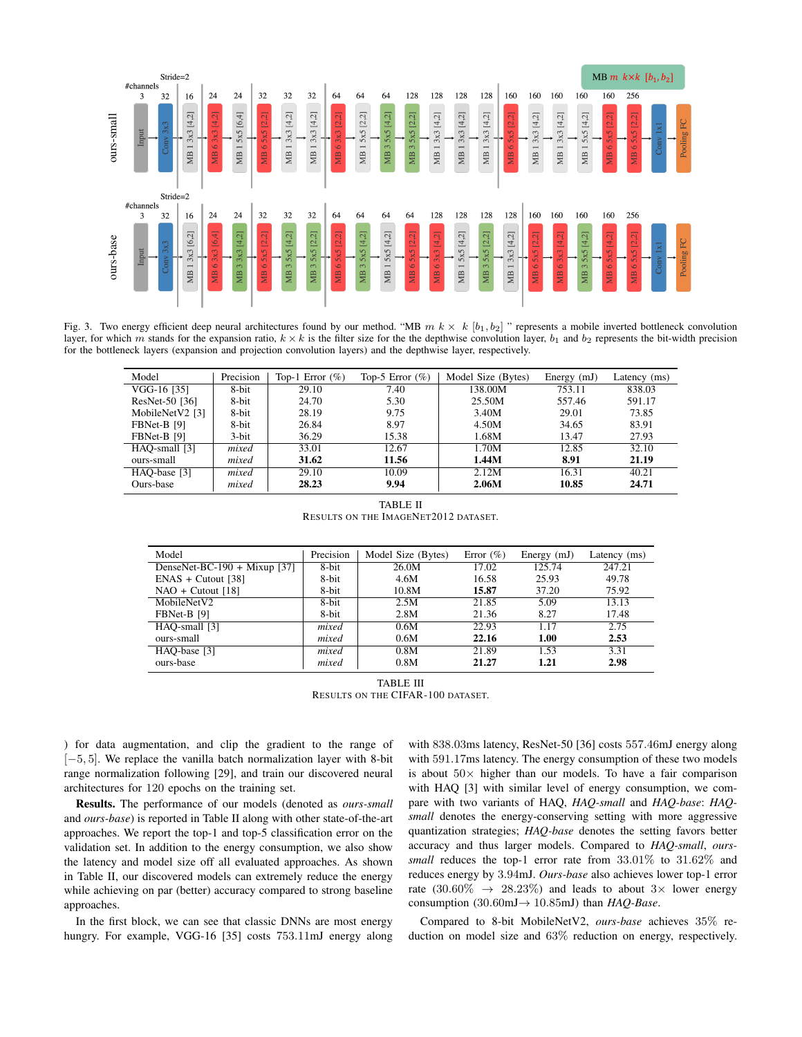

Fig. 3. Two energy efficient deep neural architectures found by our method. "MB  $m k \times k$  [b<sub>1</sub>, b<sub>2</sub>]" represents a mobile inverted bottleneck convolution layer, for which m stands for the expansion ratio,  $k \times k$  is the filter size for the the depthwise convolution layer,  $b_1$  and  $b_2$  represents the bit-width precision for the bottleneck layers (expansion and projection convolution layers) and the depthwise layer, respectively.

| Model           | Precision | Top-1 Error $(\%)$ | Top-5 Error $(\%)$ | Model Size (Bytes) | Energy $(mJ)$ | Latency (ms) |
|-----------------|-----------|--------------------|--------------------|--------------------|---------------|--------------|
| VGG-16 [35]     | 8-bit     | 29.10              | 7.40               | 138.00M            | 753.11        | 838.03       |
| ResNet-50 [36]  | 8-bit     | 24.70              | 5.30               | 25.50M             | 557.46        | 591.17       |
| MobileNetV2 [3] | 8-bit     | 28.19              | 9.75               | 3.40M              | 29.01         | 73.85        |
| FBNet-B [9]     | 8-bit     | 26.84              | 8.97               | 4.50M              | 34.65         | 83.91        |
| FBNet-B [9]     | 3-bit     | 36.29              | 15.38              | 1.68M              | 13.47         | 27.93        |
| HAO-small [3]   | mixed     | 33.01              | 12.67              | 1.70M              | 12.85         | 32.10        |
| ours-small      | mixed     | 31.62              | 11.56              | 1.44M              | 8.91          | 21.19        |
| HAO-base [3]    | mixed     | 29.10              | 10.09              | 2.12M              | 16.31         | 40.21        |
| Ours-base       | mixed     | 28.23              | 9.94               | 2.06M              | 10.85         | 24.71        |

TABLE II RESULTS ON THE IMAGENET2012 DATASET.

| Model                        | Precision | Model Size (Bytes) | Error $(\% )$ | Energy $(mJ)$ | Latency (ms) |
|------------------------------|-----------|--------------------|---------------|---------------|--------------|
| DenseNet-BC-190 + Mixup [37] | 8-bit     | 26.0M              | 17.02         | 125.74        | 247.21       |
| $ENAS + Cutout [38]$         | 8-bit     | 4.6M               | 16.58         | 25.93         | 49.78        |
| $NAO +$ Cutout [18]          | 8-bit     | 10.8M              | 15.87         | 37.20         | 75.92        |
| MobileNetV2                  | 8-bit     | 2.5M               | 21.85         | 5.09          | 13.13        |
| FBNet-B [9]                  | 8-bit     | 2.8M               | 21.36         | 8.27          | 17.48        |
| HAO-small [3]                | mixed     | 0.6M               | 22.93         | 1.17          | 2.75         |
| ours-small                   | mixed     | 0.6M               | 22.16         | 1.00          | 2.53         |
| HAO-base [3]                 | mixed     | 0.8M               | 21.89         | 1.53          | 3.31         |
| ours-base                    | mixed     | 0.8M               | 21.27         | 1.21          | 2.98         |

TABLE III RESULTS ON THE CIFAR-100 DATASET.

) for data augmentation, and clip the gradient to the range of [−5, 5]. We replace the vanilla batch normalization layer with 8-bit range normalization following [29], and train our discovered neural architectures for 120 epochs on the training set.

Results. The performance of our models (denoted as *ours-small* and *ours-base*) is reported in Table II along with other state-of-the-art approaches. We report the top-1 and top-5 classification error on the validation set. In addition to the energy consumption, we also show the latency and model size off all evaluated approaches. As shown in Table II, our discovered models can extremely reduce the energy while achieving on par (better) accuracy compared to strong baseline approaches.

In the first block, we can see that classic DNNs are most energy hungry. For example, VGG-16 [35] costs 753.11mJ energy along with 838.03ms latency, ResNet-50 [36] costs 557.46mJ energy along with 591.17ms latency. The energy consumption of these two models is about  $50\times$  higher than our models. To have a fair comparison with HAQ [3] with similar level of energy consumption, we compare with two variants of HAQ, *HAQ-small* and *HAQ-base*: *HAQsmall* denotes the energy-conserving setting with more aggressive quantization strategies; *HAQ-base* denotes the setting favors better accuracy and thus larger models. Compared to *HAQ-small*, *ourssmall* reduces the top-1 error rate from 33.01% to 31.62% and reduces energy by 3.94mJ. *Ours-base* also achieves lower top-1 error rate (30.60%  $\rightarrow$  28.23%) and leads to about 3× lower energy consumption (30.60mJ→ 10.85mJ) than *HAQ-Base*.

Compared to 8-bit MobileNetV2, *ours-base* achieves 35% reduction on model size and 63% reduction on energy, respectively.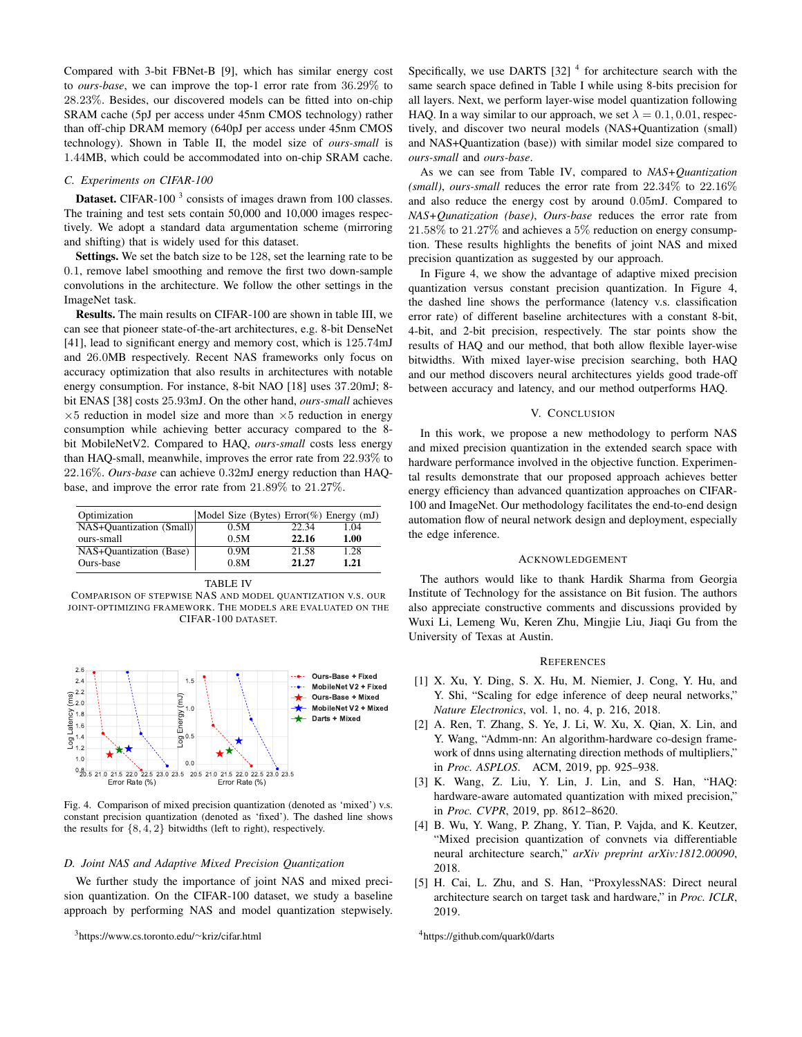Compared with 3-bit FBNet-B [9], which has similar energy cost to *ours-base*, we can improve the top-1 error rate from 36.29% to 28.23%. Besides, our discovered models can be fitted into on-chip SRAM cache (5pJ per access under 45nm CMOS technology) rather than off-chip DRAM memory (640pJ per access under 45nm CMOS technology). Shown in Table II, the model size of *ours-small* is 1.44MB, which could be accommodated into on-chip SRAM cache.

# *C. Experiments on CIFAR-100*

**Dataset.** CIFAR-100 $<sup>3</sup>$  consists of images drawn from 100 classes.</sup> The training and test sets contain 50,000 and 10,000 images respectively. We adopt a standard data argumentation scheme (mirroring and shifting) that is widely used for this dataset.

Settings. We set the batch size to be 128, set the learning rate to be 0.1, remove label smoothing and remove the first two down-sample convolutions in the architecture. We follow the other settings in the ImageNet task.

Results. The main results on CIFAR-100 are shown in table III, we can see that pioneer state-of-the-art architectures, e.g. 8-bit DenseNet [41], lead to significant energy and memory cost, which is 125.74mJ and 26.0MB respectively. Recent NAS frameworks only focus on accuracy optimization that also results in architectures with notable energy consumption. For instance, 8-bit NAO [18] uses 37.20mJ; 8 bit ENAS [38] costs 25.93mJ. On the other hand, *ours-small* achieves  $\times 5$  reduction in model size and more than  $\times 5$  reduction in energy consumption while achieving better accuracy compared to the 8 bit MobileNetV2. Compared to HAQ, *ours-small* costs less energy than HAQ-small, meanwhile, improves the error rate from 22.93% to 22.16%. *Ours-base* can achieve 0.32mJ energy reduction than HAQbase, and improve the error rate from 21.89% to 21.27%.

| Optimization             | Model Size (Bytes) $Error(\%)$ Energy (mJ) |       |      |
|--------------------------|--------------------------------------------|-------|------|
| NAS+Quantization (Small) | 0.5M                                       | 22.34 | 1.04 |
| ours-small               | 0.5M                                       | 22.16 | 1.00 |
| NAS+Quantization (Base)  | 0.9M                                       | 21.58 | 1.28 |
| Ours-base                | 0.8M                                       | 21.27 | 1.21 |

|--|--|

COMPARISON OF STEPWISE NAS AND MODEL QUANTIZATION V.S. OUR JOINT-OPTIMIZING FRAMEWORK. THE MODELS ARE EVALUATED ON THE CIFAR-100 DATASET.



Fig. 4. Comparison of mixed precision quantization (denoted as 'mixed') v.s. constant precision quantization (denoted as 'fixed'). The dashed line shows the results for  $\{8, 4, 2\}$  bitwidths (left to right), respectively.

### *D. Joint NAS and Adaptive Mixed Precision Quantization*

We further study the importance of joint NAS and mixed precision quantization. On the CIFAR-100 dataset, we study a baseline approach by performing NAS and model quantization stepwisely.

<sup>3</sup>https://www.cs.toronto.edu/∼kriz/cifar.html

Specifically, we use DARTS  $[32]$ <sup>4</sup> for architecture search with the same search space defined in Table I while using 8-bits precision for all layers. Next, we perform layer-wise model quantization following HAQ. In a way similar to our approach, we set  $\lambda = 0.1, 0.01$ , respectively, and discover two neural models (NAS+Quantization (small) and NAS+Quantization (base)) with similar model size compared to *ours-small* and *ours-base*.

As we can see from Table IV, compared to *NAS+Quantization (small)*, *ours-small* reduces the error rate from 22.34% to 22.16% and also reduce the energy cost by around 0.05mJ. Compared to *NAS+Qunatization (base)*, *Ours-base* reduces the error rate from 21.58% to 21.27% and achieves a 5% reduction on energy consumption. These results highlights the benefits of joint NAS and mixed precision quantization as suggested by our approach.

In Figure 4, we show the advantage of adaptive mixed precision quantization versus constant precision quantization. In Figure 4, the dashed line shows the performance (latency v.s. classification error rate) of different baseline architectures with a constant 8-bit, 4-bit, and 2-bit precision, respectively. The star points show the results of HAQ and our method, that both allow flexible layer-wise bitwidths. With mixed layer-wise precision searching, both HAQ and our method discovers neural architectures yields good trade-off between accuracy and latency, and our method outperforms HAQ.

## V. CONCLUSION

In this work, we propose a new methodology to perform NAS and mixed precision quantization in the extended search space with hardware performance involved in the objective function. Experimental results demonstrate that our proposed approach achieves better energy efficiency than advanced quantization approaches on CIFAR-100 and ImageNet. Our methodology facilitates the end-to-end design automation flow of neural network design and deployment, especially the edge inference.

#### ACKNOWLEDGEMENT

The authors would like to thank Hardik Sharma from Georgia Institute of Technology for the assistance on Bit fusion. The authors also appreciate constructive comments and discussions provided by Wuxi Li, Lemeng Wu, Keren Zhu, Mingjie Liu, Jiaqi Gu from the University of Texas at Austin.

#### **REFERENCES**

- [1] X. Xu, Y. Ding, S. X. Hu, M. Niemier, J. Cong, Y. Hu, and Y. Shi, "Scaling for edge inference of deep neural networks," *Nature Electronics*, vol. 1, no. 4, p. 216, 2018.
- [2] A. Ren, T. Zhang, S. Ye, J. Li, W. Xu, X. Qian, X. Lin, and Y. Wang, "Admm-nn: An algorithm-hardware co-design framework of dnns using alternating direction methods of multipliers," in *Proc. ASPLOS*. ACM, 2019, pp. 925–938.
- [3] K. Wang, Z. Liu, Y. Lin, J. Lin, and S. Han, "HAQ: hardware-aware automated quantization with mixed precision," in *Proc. CVPR*, 2019, pp. 8612–8620.
- [4] B. Wu, Y. Wang, P. Zhang, Y. Tian, P. Vajda, and K. Keutzer, "Mixed precision quantization of convnets via differentiable neural architecture search," *arXiv preprint arXiv:1812.00090*, 2018.
- [5] H. Cai, L. Zhu, and S. Han, "ProxylessNAS: Direct neural architecture search on target task and hardware," in *Proc. ICLR*, 2019.

<sup>4</sup>https://github.com/quark0/darts